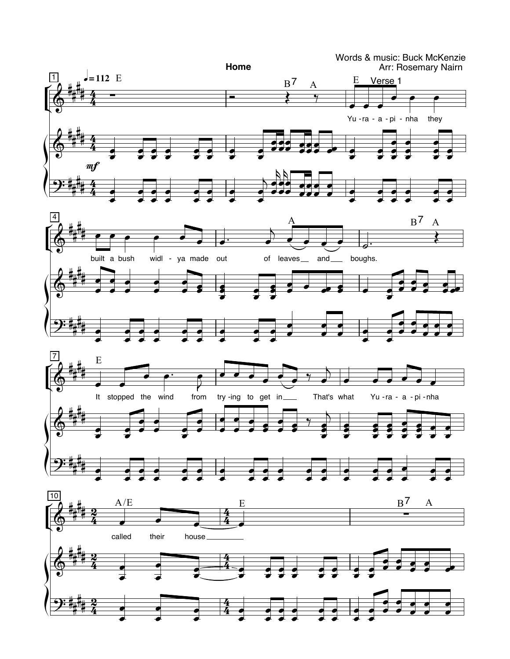

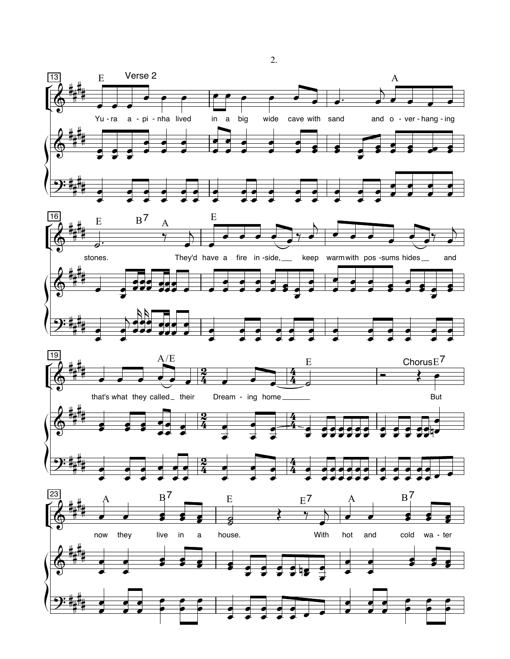

 $\overline{2}$ .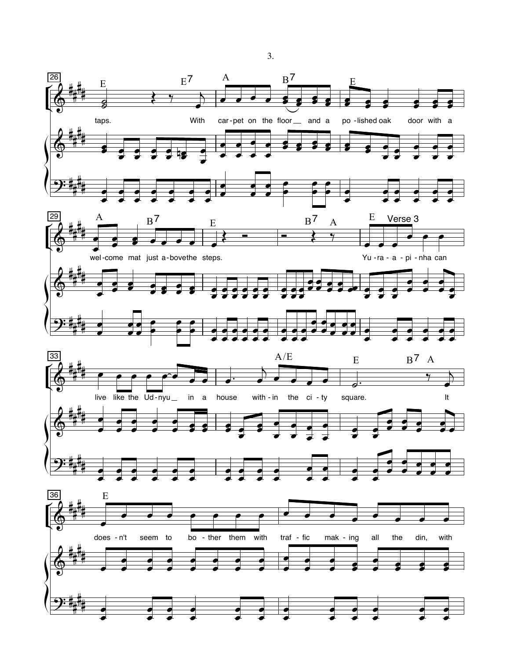

 $3.$